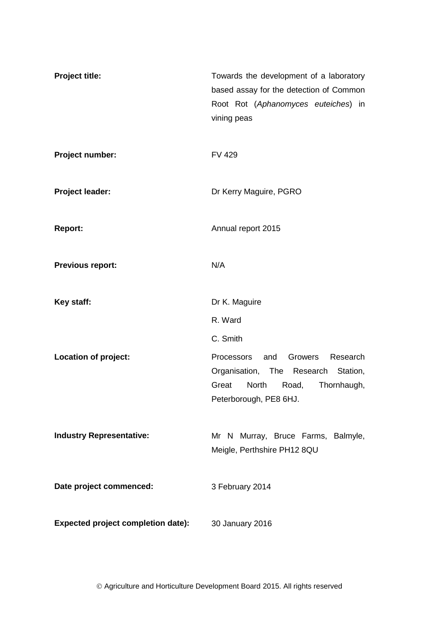| <b>Project title:</b>                     | Towards the development of a laboratory<br>based assay for the detection of Common<br>Root Rot (Aphanomyces euteiches) in<br>vining peas               |
|-------------------------------------------|--------------------------------------------------------------------------------------------------------------------------------------------------------|
| Project number:                           | <b>FV 429</b>                                                                                                                                          |
| <b>Project leader:</b>                    | Dr Kerry Maguire, PGRO                                                                                                                                 |
| <b>Report:</b>                            | Annual report 2015                                                                                                                                     |
| <b>Previous report:</b>                   | N/A                                                                                                                                                    |
| Key staff:                                | Dr K. Maguire                                                                                                                                          |
|                                           | R. Ward                                                                                                                                                |
|                                           | C. Smith                                                                                                                                               |
| Location of project:                      | Research<br>Processors<br>and<br>Growers<br>Organisation, The Research<br>Station,<br>Great<br>North<br>Road,<br>Thornhaugh,<br>Peterborough, PE8 6HJ. |
| <b>Industry Representative:</b>           | Mr N Murray, Bruce Farms, Balmyle,<br>Meigle, Perthshire PH12 8QU                                                                                      |
| Date project commenced:                   | 3 February 2014                                                                                                                                        |
| <b>Expected project completion date):</b> | 30 January 2016                                                                                                                                        |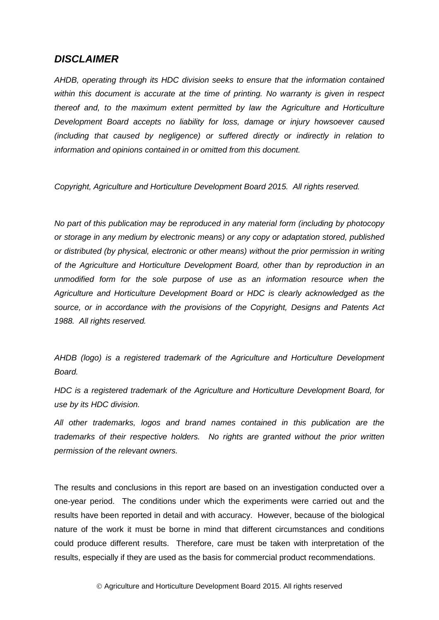#### *DISCLAIMER*

*AHDB, operating through its HDC division seeks to ensure that the information contained within this document is accurate at the time of printing. No warranty is given in respect thereof and, to the maximum extent permitted by law the Agriculture and Horticulture Development Board accepts no liability for loss, damage or injury howsoever caused (including that caused by negligence) or suffered directly or indirectly in relation to information and opinions contained in or omitted from this document.* 

*Copyright, Agriculture and Horticulture Development Board 2015. All rights reserved.*

*No part of this publication may be reproduced in any material form (including by photocopy or storage in any medium by electronic means) or any copy or adaptation stored, published or distributed (by physical, electronic or other means) without the prior permission in writing of the Agriculture and Horticulture Development Board, other than by reproduction in an unmodified form for the sole purpose of use as an information resource when the Agriculture and Horticulture Development Board or HDC is clearly acknowledged as the source, or in accordance with the provisions of the Copyright, Designs and Patents Act 1988. All rights reserved.* 

*AHDB (logo) is a registered trademark of the Agriculture and Horticulture Development Board.*

*HDC is a registered trademark of the Agriculture and Horticulture Development Board, for use by its HDC division.*

*All other trademarks, logos and brand names contained in this publication are the trademarks of their respective holders. No rights are granted without the prior written permission of the relevant owners.*

The results and conclusions in this report are based on an investigation conducted over a one-year period. The conditions under which the experiments were carried out and the results have been reported in detail and with accuracy. However, because of the biological nature of the work it must be borne in mind that different circumstances and conditions could produce different results. Therefore, care must be taken with interpretation of the results, especially if they are used as the basis for commercial product recommendations.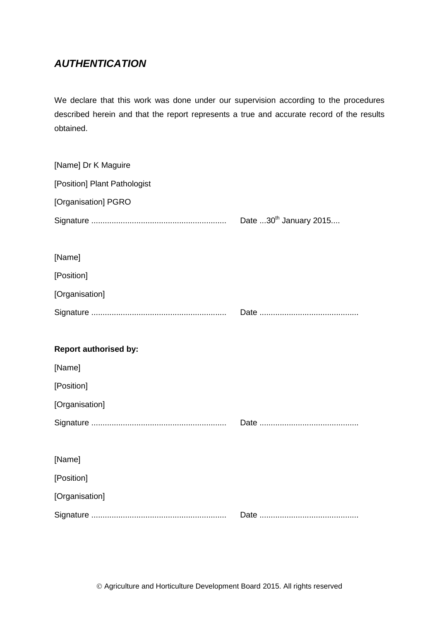# *AUTHENTICATION*

We declare that this work was done under our supervision according to the procedures described herein and that the report represents a true and accurate record of the results obtained.

| [Name] Dr K Maguire          |                                    |
|------------------------------|------------------------------------|
| [Position] Plant Pathologist |                                    |
| [Organisation] PGRO          |                                    |
|                              | Date 30 <sup>th</sup> January 2015 |
|                              |                                    |
| [Name]                       |                                    |
| [Position]                   |                                    |
| [Organisation]               |                                    |
|                              |                                    |
|                              |                                    |
|                              |                                    |
| <b>Report authorised by:</b> |                                    |
| [Name]                       |                                    |
| [Position]                   |                                    |
| [Organisation]               |                                    |
|                              |                                    |
|                              |                                    |
| [Name]                       |                                    |
| [Position]                   |                                    |
| [Organisation]               |                                    |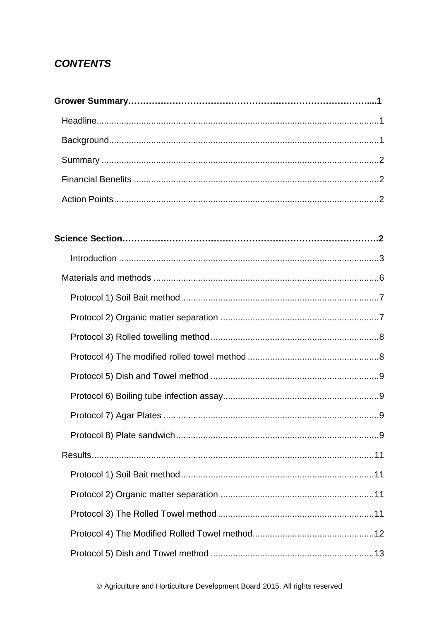# **CONTENTS**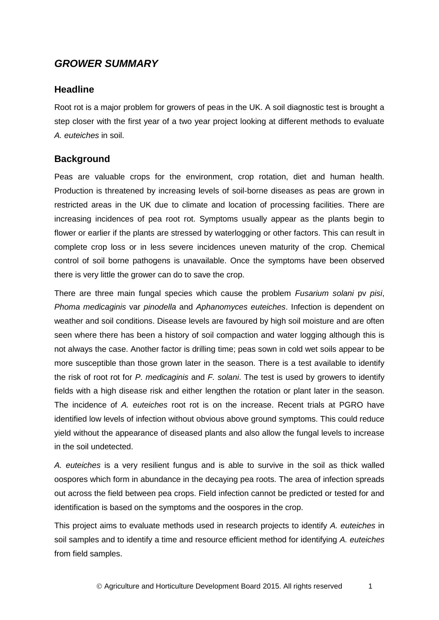# *GROWER SUMMARY*

## <span id="page-5-0"></span>**Headline**

Root rot is a major problem for growers of peas in the UK. A soil diagnostic test is brought a step closer with the first year of a two year project looking at different methods to evaluate *A. euteiches* in soil.

# <span id="page-5-1"></span>**Background**

Peas are valuable crops for the environment, crop rotation, diet and human health. Production is threatened by increasing levels of soil-borne diseases as peas are grown in restricted areas in the UK due to climate and location of processing facilities. There are increasing incidences of pea root rot. Symptoms usually appear as the plants begin to flower or earlier if the plants are stressed by waterlogging or other factors. This can result in complete crop loss or in less severe incidences uneven maturity of the crop. Chemical control of soil borne pathogens is unavailable. Once the symptoms have been observed there is very little the grower can do to save the crop.

There are three main fungal species which cause the problem *Fusarium solani* pv *pisi*, *Phoma medicaginis* var *pinodella* and *Aphanomyces euteiches*. Infection is dependent on weather and soil conditions. Disease levels are favoured by high soil moisture and are often seen where there has been a history of soil compaction and water logging although this is not always the case. Another factor is drilling time; peas sown in cold wet soils appear to be more susceptible than those grown later in the season. There is a test available to identify the risk of root rot for *P. medicaginis* and *F. solani*. The test is used by growers to identify fields with a high disease risk and either lengthen the rotation or plant later in the season. The incidence of *A. euteiches* root rot is on the increase. Recent trials at PGRO have identified low levels of infection without obvious above ground symptoms. This could reduce yield without the appearance of diseased plants and also allow the fungal levels to increase in the soil undetected.

*A. euteiches* is a very resilient fungus and is able to survive in the soil as thick walled oospores which form in abundance in the decaying pea roots. The area of infection spreads out across the field between pea crops. Field infection cannot be predicted or tested for and identification is based on the symptoms and the oospores in the crop.

This project aims to evaluate methods used in research projects to identify *A. euteiches* in soil samples and to identify a time and resource efficient method for identifying *A. euteiches* from field samples.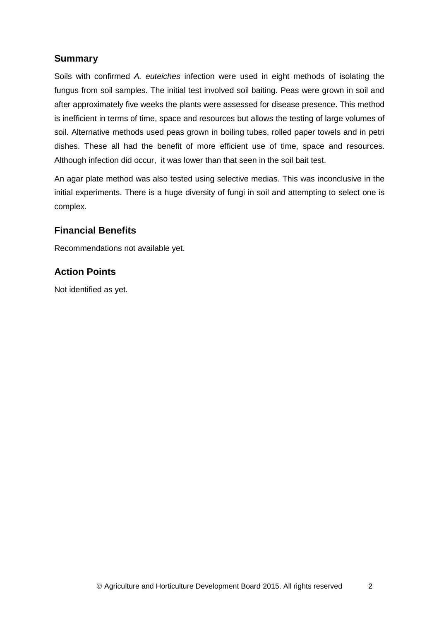# <span id="page-6-0"></span>**Summary**

Soils with confirmed *A. euteiches* infection were used in eight methods of isolating the fungus from soil samples. The initial test involved soil baiting. Peas were grown in soil and after approximately five weeks the plants were assessed for disease presence. This method is inefficient in terms of time, space and resources but allows the testing of large volumes of soil. Alternative methods used peas grown in boiling tubes, rolled paper towels and in petri dishes. These all had the benefit of more efficient use of time, space and resources. Although infection did occur, it was lower than that seen in the soil bait test.

An agar plate method was also tested using selective medias. This was inconclusive in the initial experiments. There is a huge diversity of fungi in soil and attempting to select one is complex.

### <span id="page-6-1"></span>**Financial Benefits**

Recommendations not available yet.

# <span id="page-6-2"></span>**Action Points**

Not identified as yet.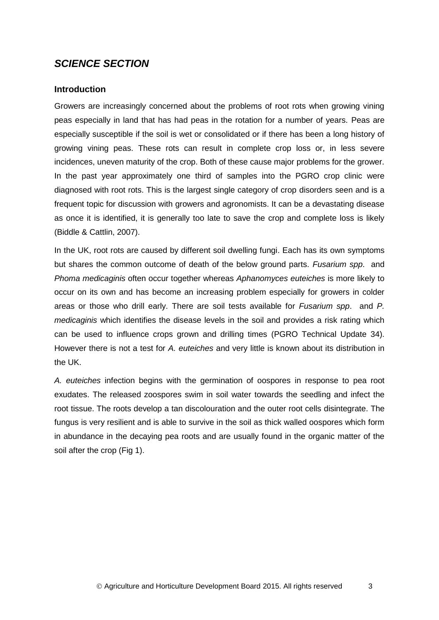# *SCIENCE SECTION*

#### <span id="page-7-0"></span>**Introduction**

Growers are increasingly concerned about the problems of root rots when growing vining peas especially in land that has had peas in the rotation for a number of years. Peas are especially susceptible if the soil is wet or consolidated or if there has been a long history of growing vining peas. These rots can result in complete crop loss or, in less severe incidences, uneven maturity of the crop. Both of these cause major problems for the grower. In the past year approximately one third of samples into the PGRO crop clinic were diagnosed with root rots. This is the largest single category of crop disorders seen and is a frequent topic for discussion with growers and agronomists. It can be a devastating disease as once it is identified, it is generally too late to save the crop and complete loss is likely (Biddle & Cattlin, 2007).

In the UK, root rots are caused by different soil dwelling fungi. Each has its own symptoms but shares the common outcome of death of the below ground parts. *Fusarium spp*. and *Phoma medicaginis* often occur together whereas *Aphanomyces euteiches* is more likely to occur on its own and has become an increasing problem especially for growers in colder areas or those who drill early. There are soil tests available for *Fusarium spp*. and *P. medicaginis* which identifies the disease levels in the soil and provides a risk rating which can be used to influence crops grown and drilling times (PGRO Technical Update 34). However there is not a test for *A. euteiches* and very little is known about its distribution in the UK.

*A. euteiches* infection begins with the germination of oospores in response to pea root exudates. The released zoospores swim in soil water towards the seedling and infect the root tissue. The roots develop a tan discolouration and the outer root cells disintegrate. The fungus is very resilient and is able to survive in the soil as thick walled oospores which form in abundance in the decaying pea roots and are usually found in the organic matter of the soil after the crop (Fig 1).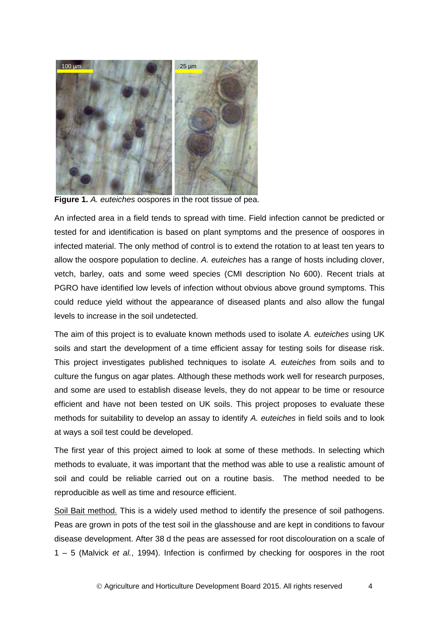

**Figure 1.** *A. euteiches* oospores in the root tissue of pea.

An infected area in a field tends to spread with time. Field infection cannot be predicted or tested for and identification is based on plant symptoms and the presence of oospores in infected material. The only method of control is to extend the rotation to at least ten years to allow the oospore population to decline. *A. euteiches* has a range of hosts including clover, vetch, barley, oats and some weed species (CMI description No 600). Recent trials at PGRO have identified low levels of infection without obvious above ground symptoms. This could reduce yield without the appearance of diseased plants and also allow the fungal levels to increase in the soil undetected.

The aim of this project is to evaluate known methods used to isolate *A. euteiches* using UK soils and start the development of a time efficient assay for testing soils for disease risk. This project investigates published techniques to isolate *A. euteiches* from soils and to culture the fungus on agar plates. Although these methods work well for research purposes, and some are used to establish disease levels, they do not appear to be time or resource efficient and have not been tested on UK soils. This project proposes to evaluate these methods for suitability to develop an assay to identify *A. euteiches* in field soils and to look at ways a soil test could be developed.

The first year of this project aimed to look at some of these methods. In selecting which methods to evaluate, it was important that the method was able to use a realistic amount of soil and could be reliable carried out on a routine basis. The method needed to be reproducible as well as time and resource efficient.

Soil Bait method. This is a widely used method to identify the presence of soil pathogens. Peas are grown in pots of the test soil in the glasshouse and are kept in conditions to favour disease development. After 38 d the peas are assessed for root discolouration on a scale of 1 – 5 (Malvick *et al.*, 1994). Infection is confirmed by checking for oospores in the root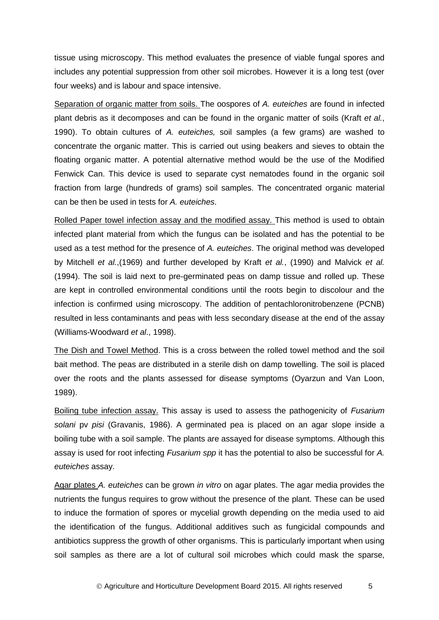tissue using microscopy. This method evaluates the presence of viable fungal spores and includes any potential suppression from other soil microbes. However it is a long test (over four weeks) and is labour and space intensive.

Separation of organic matter from soils. The oospores of *A. euteiches* are found in infected plant debris as it decomposes and can be found in the organic matter of soils (Kraft *et al.*, 1990). To obtain cultures of *A. euteiches,* soil samples (a few grams) are washed to concentrate the organic matter. This is carried out using beakers and sieves to obtain the floating organic matter. A potential alternative method would be the use of the Modified Fenwick Can. This device is used to separate cyst nematodes found in the organic soil fraction from large (hundreds of grams) soil samples. The concentrated organic material can be then be used in tests for *A. euteiches*.

Rolled Paper towel infection assay and the modified assay. This method is used to obtain infected plant material from which the fungus can be isolated and has the potential to be used as a test method for the presence of *A. euteiches*. The original method was developed by Mitchell *et al.*,(1969) and further developed by Kraft *et al.*, (1990) and Malvick *et al.* (1994). The soil is laid next to pre-germinated peas on damp tissue and rolled up. These are kept in controlled environmental conditions until the roots begin to discolour and the infection is confirmed using microscopy. The addition of pentachloronitrobenzene (PCNB) resulted in less contaminants and peas with less secondary disease at the end of the assay (Williams-Woodward *et al*., 1998).

The Dish and Towel Method. This is a cross between the rolled towel method and the soil bait method. The peas are distributed in a sterile dish on damp towelling. The soil is placed over the roots and the plants assessed for disease symptoms (Oyarzun and Van Loon, 1989).

Boiling tube infection assay. This assay is used to assess the pathogenicity of *Fusarium solani* pv *pisi* (Gravanis, 1986). A germinated pea is placed on an agar slope inside a boiling tube with a soil sample. The plants are assayed for disease symptoms. Although this assay is used for root infecting *Fusarium spp* it has the potential to also be successful for *A. euteiches* assay.

Agar plates *A. euteiches* can be grown *in vitro* on agar plates. The agar media provides the nutrients the fungus requires to grow without the presence of the plant. These can be used to induce the formation of spores or mycelial growth depending on the media used to aid the identification of the fungus. Additional additives such as fungicidal compounds and antibiotics suppress the growth of other organisms. This is particularly important when using soil samples as there are a lot of cultural soil microbes which could mask the sparse,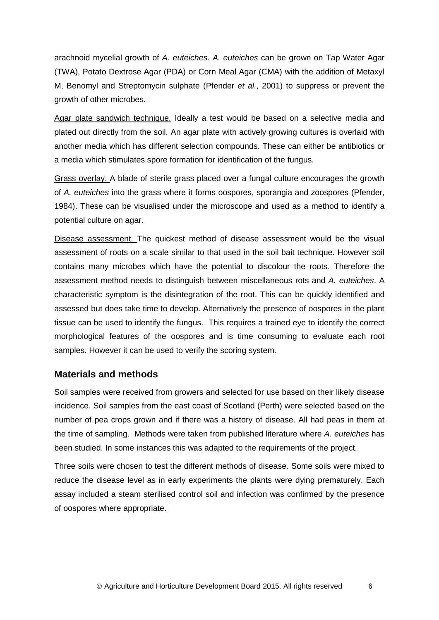arachnoid mycelial growth of *A. euteiches*. *A. euteiches* can be grown on Tap Water Agar (TWA), Potato Dextrose Agar (PDA) or Corn Meal Agar (CMA) with the addition of Metaxyl M, Benomyl and Streptomycin sulphate (Pfender *et al.*, 2001) to suppress or prevent the growth of other microbes.

Agar plate sandwich technique. Ideally a test would be based on a selective media and plated out directly from the soil. An agar plate with actively growing cultures is overlaid with another media which has different selection compounds. These can either be antibiotics or a media which stimulates spore formation for identification of the fungus.

Grass overlay. A blade of sterile grass placed over a fungal culture encourages the growth of *A. euteiches* into the grass where it forms oospores, sporangia and zoospores (Pfender, 1984). These can be visualised under the microscope and used as a method to identify a potential culture on agar.

Disease assessment. The quickest method of disease assessment would be the visual assessment of roots on a scale similar to that used in the soil bait technique. However soil contains many microbes which have the potential to discolour the roots. Therefore the assessment method needs to distinguish between miscellaneous rots and *A. euteiches*. A characteristic symptom is the disintegration of the root. This can be quickly identified and assessed but does take time to develop. Alternatively the presence of oospores in the plant tissue can be used to identify the fungus. This requires a trained eye to identify the correct morphological features of the oospores and is time consuming to evaluate each root samples. However it can be used to verify the scoring system.

#### <span id="page-10-0"></span>**Materials and methods**

Soil samples were received from growers and selected for use based on their likely disease incidence. Soil samples from the east coast of Scotland (Perth) were selected based on the number of pea crops grown and if there was a history of disease. All had peas in them at the time of sampling. Methods were taken from published literature where *A. euteiches* has been studied. In some instances this was adapted to the requirements of the project.

Three soils were chosen to test the different methods of disease. Some soils were mixed to reduce the disease level as in early experiments the plants were dying prematurely. Each assay included a steam sterilised control soil and infection was confirmed by the presence of oospores where appropriate.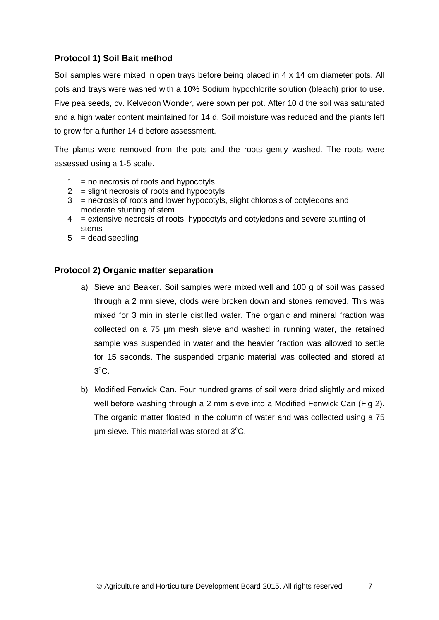#### <span id="page-11-0"></span>**Protocol 1) Soil Bait method**

Soil samples were mixed in open trays before being placed in 4 x 14 cm diameter pots. All pots and trays were washed with a 10% Sodium hypochlorite solution (bleach) prior to use. Five pea seeds, cv. Kelvedon Wonder, were sown per pot. After 10 d the soil was saturated and a high water content maintained for 14 d. Soil moisture was reduced and the plants left to grow for a further 14 d before assessment.

The plants were removed from the pots and the roots gently washed. The roots were assessed using a 1-5 scale.

- $1 = no$  necrosis of roots and hypocotyls
- $2 =$  slight necrosis of roots and hypocotyls
- $3 =$  necrosis of roots and lower hypocotyls, slight chlorosis of cotyledons and moderate stunting of stem
- 4 = extensive necrosis of roots, hypocotyls and cotyledons and severe stunting of stems
- $5 =$  dead seedling

#### <span id="page-11-1"></span>**Protocol 2) Organic matter separation**

- a) Sieve and Beaker. Soil samples were mixed well and 100 g of soil was passed through a 2 mm sieve, clods were broken down and stones removed. This was mixed for 3 min in sterile distilled water. The organic and mineral fraction was collected on a 75 µm mesh sieve and washed in running water, the retained sample was suspended in water and the heavier fraction was allowed to settle for 15 seconds. The suspended organic material was collected and stored at  $3^{\circ}$ C.
- b) Modified Fenwick Can. Four hundred grams of soil were dried slightly and mixed well before washing through a 2 mm sieve into a Modified Fenwick Can (Fig 2). The organic matter floated in the column of water and was collected using a 75  $\mu$ m sieve. This material was stored at 3°C.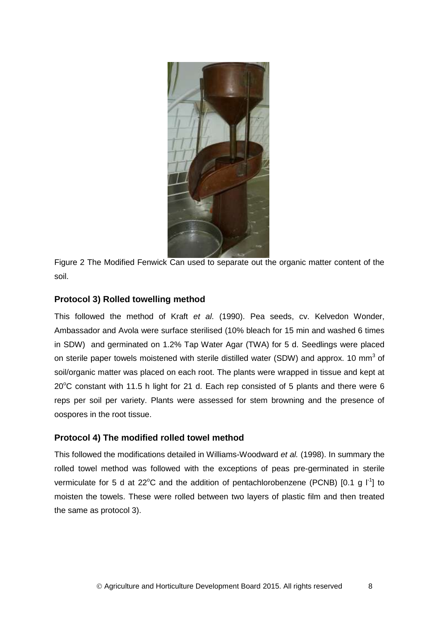

Figure 2 The Modified Fenwick Can used to separate out the organic matter content of the soil.

#### <span id="page-12-0"></span>**Protocol 3) Rolled towelling method**

This followed the method of Kraft *et al*. (1990). Pea seeds, cv. Kelvedon Wonder, Ambassador and Avola were surface sterilised (10% bleach for 15 min and washed 6 times in SDW) and germinated on 1.2% Tap Water Agar (TWA) for 5 d. Seedlings were placed on sterile paper towels moistened with sterile distilled water (SDW) and approx. 10 mm<sup>3</sup> of soil/organic matter was placed on each root. The plants were wrapped in tissue and kept at  $20^{\circ}$ C constant with 11.5 h light for 21 d. Each rep consisted of 5 plants and there were 6 reps per soil per variety. Plants were assessed for stem browning and the presence of oospores in the root tissue.

#### <span id="page-12-1"></span>**Protocol 4) The modified rolled towel method**

This followed the modifications detailed in Williams-Woodward *et al.* (1998). In summary the rolled towel method was followed with the exceptions of peas pre-germinated in sterile vermiculate for 5 d at 22 $^{\circ}$ C and the addition of pentachlorobenzene (PCNB) [0.1 g  $1^{\circ}$ ] to moisten the towels. These were rolled between two layers of plastic film and then treated the same as protocol 3).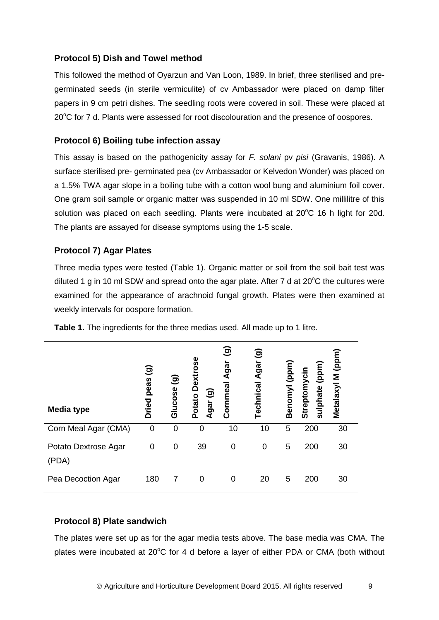#### <span id="page-13-0"></span>**Protocol 5) Dish and Towel method**

This followed the method of Oyarzun and Van Loon, 1989. In brief, three sterilised and pregerminated seeds (in sterile vermiculite) of cv Ambassador were placed on damp filter papers in 9 cm petri dishes. The seedling roots were covered in soil. These were placed at  $20^{\circ}$ C for 7 d. Plants were assessed for root discolouration and the presence of oospores.

#### <span id="page-13-1"></span>**Protocol 6) Boiling tube infection assay**

This assay is based on the pathogenicity assay for *F. solani* pv *pisi* (Gravanis, 1986). A surface sterilised pre- germinated pea (cv Ambassador or Kelvedon Wonder) was placed on a 1.5% TWA agar slope in a boiling tube with a cotton wool bung and aluminium foil cover. One gram soil sample or organic matter was suspended in 10 ml SDW. One millilitre of this solution was placed on each seedling. Plants were incubated at  $20^{\circ}$ C 16 h light for 20d. The plants are assayed for disease symptoms using the 1-5 scale.

#### <span id="page-13-2"></span>**Protocol 7) Agar Plates**

Three media types were tested (Table 1). Organic matter or soil from the soil bait test was diluted 1 g in 10 ml SDW and spread onto the agar plate. After 7 d at  $20^{\circ}$ C the cultures were examined for the appearance of arachnoid fungal growth. Plates were then examined at weekly intervals for oospore formation.

| <b>Media type</b>             | $\widehat{\mathbf{e}}$<br>peas<br><b>Dried</b> | ම<br>Glucose | <b>Dextros</b><br>಄<br>Potato<br>gar<br>⋖ | ම<br>Agar<br>Cornmeal | ම<br>Agar<br>Technical | Benomyl (ppm) | (ppm)<br>Streptomycin<br>sulphate | Metalaxyl M (ppm |
|-------------------------------|------------------------------------------------|--------------|-------------------------------------------|-----------------------|------------------------|---------------|-----------------------------------|------------------|
| Corn Meal Agar (CMA)          | $\mathbf 0$                                    | 0            | 0                                         | 10                    | 10                     | 5             | 200                               | 30               |
| Potato Dextrose Agar<br>(PDA) | 0                                              | 0            | 39                                        | 0                     | 0                      | 5             | 200                               | 30               |
| Pea Decoction Agar            | 180                                            | 7            | 0                                         | 0                     | 20                     | 5             | 200                               | 30               |

**Table 1.** The ingredients for the three medias used. All made up to 1 litre.

#### <span id="page-13-3"></span>**Protocol 8) Plate sandwich**

The plates were set up as for the agar media tests above. The base media was CMA. The plates were incubated at  $20^{\circ}$ C for 4 d before a layer of either PDA or CMA (both without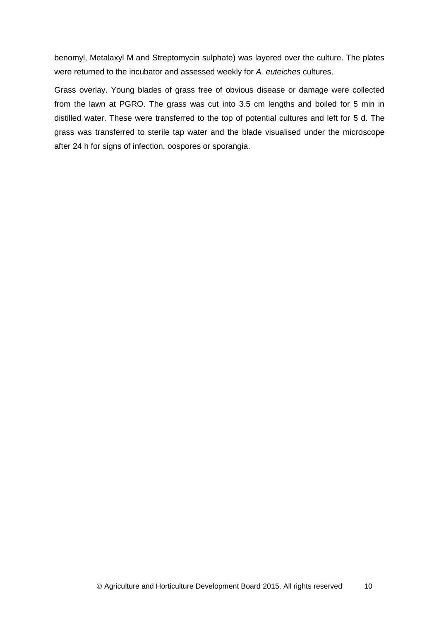benomyl, Metalaxyl M and Streptomycin sulphate) was layered over the culture. The plates were returned to the incubator and assessed weekly for *A. euteiches* cultures.

Grass overlay. Young blades of grass free of obvious disease or damage were collected from the lawn at PGRO. The grass was cut into 3.5 cm lengths and boiled for 5 min in distilled water. These were transferred to the top of potential cultures and left for 5 d. The grass was transferred to sterile tap water and the blade visualised under the microscope after 24 h for signs of infection, oospores or sporangia.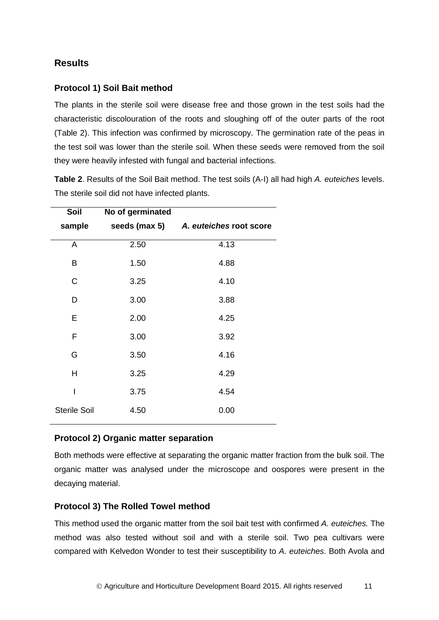# <span id="page-15-0"></span>**Results**

#### <span id="page-15-1"></span>**Protocol 1) Soil Bait method**

The plants in the sterile soil were disease free and those grown in the test soils had the characteristic discolouration of the roots and sloughing off of the outer parts of the root (Table 2). This infection was confirmed by microscopy. The germination rate of the peas in the test soil was lower than the sterile soil. When these seeds were removed from the soil they were heavily infested with fungal and bacterial infections.

**Table 2**. Results of the Soil Bait method. The test soils (A-I) all had high *A. euteiches* levels. The sterile soil did not have infected plants.

| Soil                | No of germinated |                                       |
|---------------------|------------------|---------------------------------------|
| sample              |                  | seeds (max 5) A. euteiches root score |
| A                   | 2.50             | 4.13                                  |
| B                   | 1.50             | 4.88                                  |
| C                   | 3.25             | 4.10                                  |
| D                   | 3.00             | 3.88                                  |
| E                   | 2.00             | 4.25                                  |
| F                   | 3.00             | 3.92                                  |
| G                   | 3.50             | 4.16                                  |
| Н                   | 3.25             | 4.29                                  |
| ı                   | 3.75             | 4.54                                  |
| <b>Sterile Soil</b> | 4.50             | 0.00                                  |

#### <span id="page-15-2"></span>**Protocol 2) Organic matter separation**

Both methods were effective at separating the organic matter fraction from the bulk soil. The organic matter was analysed under the microscope and oospores were present in the decaying material.

#### <span id="page-15-3"></span>**Protocol 3) The Rolled Towel method**

This method used the organic matter from the soil bait test with confirmed *A. euteiches.* The method was also tested without soil and with a sterile soil. Two pea cultivars were compared with Kelvedon Wonder to test their susceptibility to *A. euteiches*. Both Avola and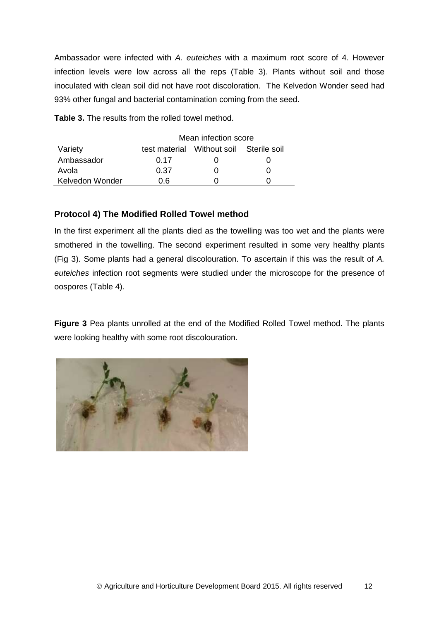Ambassador were infected with *A. euteiches* with a maximum root score of 4. However infection levels were low across all the reps (Table 3). Plants without soil and those inoculated with clean soil did not have root discoloration. The Kelvedon Wonder seed had 93% other fungal and bacterial contamination coming from the seed.

**Table 3.** The results from the rolled towel method.

|                 | Mean infection score |                                         |  |  |
|-----------------|----------------------|-----------------------------------------|--|--|
| Variety         |                      | test material Without soil Sterile soil |  |  |
| Ambassador      | 0.17                 |                                         |  |  |
| Avola           | 0.37                 |                                         |  |  |
| Kelvedon Wonder | า 6                  |                                         |  |  |

#### <span id="page-16-0"></span>**Protocol 4) The Modified Rolled Towel method**

In the first experiment all the plants died as the towelling was too wet and the plants were smothered in the towelling. The second experiment resulted in some very healthy plants (Fig 3). Some plants had a general discolouration. To ascertain if this was the result of *A. euteiches* infection root segments were studied under the microscope for the presence of oospores (Table 4).

**Figure 3** Pea plants unrolled at the end of the Modified Rolled Towel method. The plants were looking healthy with some root discolouration.

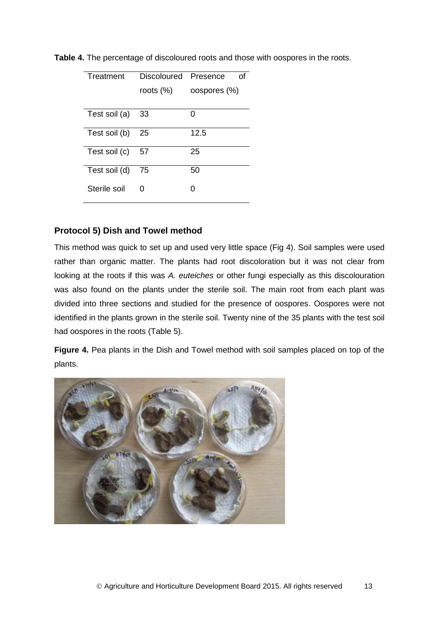| Treatment     | Discoloured Presence | Ωf           |
|---------------|----------------------|--------------|
|               | roots (%)            | oospores (%) |
|               |                      |              |
| Test soil (a) | 33                   | ი            |
| Test soil (b) | 25                   | 12.5         |
| Test soil (c) | 57                   | 25           |
| Test soil (d) | 75                   | 50           |
| Sterile soil  | 0                    | O            |

**Table 4.** The percentage of discoloured roots and those with oospores in the roots.

#### <span id="page-17-0"></span>**Protocol 5) Dish and Towel method**

This method was quick to set up and used very little space (Fig 4). Soil samples were used rather than organic matter. The plants had root discoloration but it was not clear from looking at the roots if this was *A. euteiches* or other fungi especially as this discolouration was also found on the plants under the sterile soil. The main root from each plant was divided into three sections and studied for the presence of oospores. Oospores were not identified in the plants grown in the sterile soil. Twenty nine of the 35 plants with the test soil had oospores in the roots (Table 5).

**Figure 4.** Pea plants in the Dish and Towel method with soil samples placed on top of the plants.

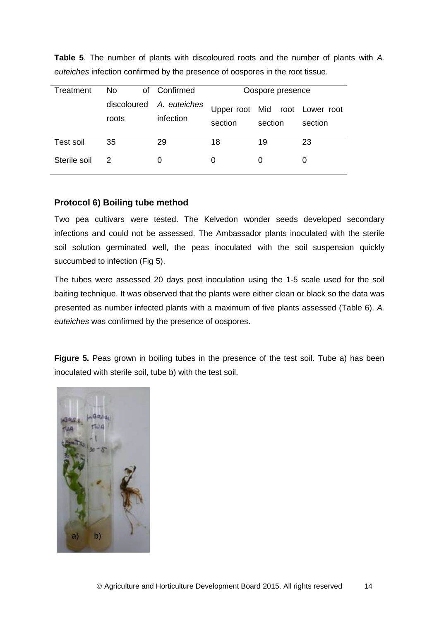| Treatment        | No                   | of Confirmed              |         | Oospore presence |                                           |
|------------------|----------------------|---------------------------|---------|------------------|-------------------------------------------|
|                  | discoloured<br>roots | A. euteiches<br>infection | section | section          | Upper root Mid root Lower root<br>section |
| <b>Test soil</b> | 35                   | 29                        | 18      | 19               | 23                                        |
| Sterile soil     | 2                    | O                         | 0       | 0                |                                           |

**Table 5**. The number of plants with discoloured roots and the number of plants with *A. euteiches* infection confirmed by the presence of oospores in the root tissue.

#### <span id="page-18-0"></span>**Protocol 6) Boiling tube method**

Two pea cultivars were tested. The Kelvedon wonder seeds developed secondary infections and could not be assessed. The Ambassador plants inoculated with the sterile soil solution germinated well, the peas inoculated with the soil suspension quickly succumbed to infection (Fig 5).

The tubes were assessed 20 days post inoculation using the 1-5 scale used for the soil baiting technique. It was observed that the plants were either clean or black so the data was presented as number infected plants with a maximum of five plants assessed (Table 6). *A. euteiches* was confirmed by the presence of oospores.

**Figure 5.** Peas grown in boiling tubes in the presence of the test soil. Tube a) has been inoculated with sterile soil, tube b) with the test soil.

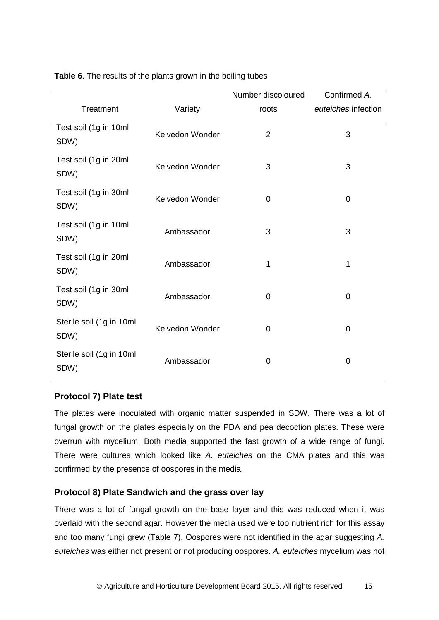|                                  |                 | Number discoloured | Confirmed A.        |
|----------------------------------|-----------------|--------------------|---------------------|
| Treatment                        | Variety         | roots              | euteiches infection |
| Test soil (1g in 10ml<br>SDW)    | Kelvedon Wonder | $\overline{2}$     | 3                   |
| Test soil (1g in 20ml<br>SDW)    | Kelvedon Wonder | 3                  | 3                   |
| Test soil (1g in 30ml<br>SDW)    | Kelvedon Wonder | 0                  | 0                   |
| Test soil (1g in 10ml<br>SDW)    | Ambassador      | 3                  | 3                   |
| Test soil (1g in 20ml<br>SDW)    | Ambassador      | 1                  | 1                   |
| Test soil (1g in 30ml<br>SDW)    | Ambassador      | 0                  | $\mathbf 0$         |
| Sterile soil (1g in 10ml<br>SDW) | Kelvedon Wonder | 0                  | $\mathbf 0$         |
| Sterile soil (1g in 10ml<br>SDW) | Ambassador      | 0                  | 0                   |

**Table 6**. The results of the plants grown in the boiling tubes

#### <span id="page-19-0"></span>**Protocol 7) Plate test**

The plates were inoculated with organic matter suspended in SDW. There was a lot of fungal growth on the plates especially on the PDA and pea decoction plates. These were overrun with mycelium. Both media supported the fast growth of a wide range of fungi. There were cultures which looked like *A. euteiches* on the CMA plates and this was confirmed by the presence of oospores in the media.

#### <span id="page-19-1"></span>**Protocol 8) Plate Sandwich and the grass over lay**

There was a lot of fungal growth on the base layer and this was reduced when it was overlaid with the second agar. However the media used were too nutrient rich for this assay and too many fungi grew (Table 7). Oospores were not identified in the agar suggesting *A. euteiches* was either not present or not producing oospores. *A. euteiches* mycelium was not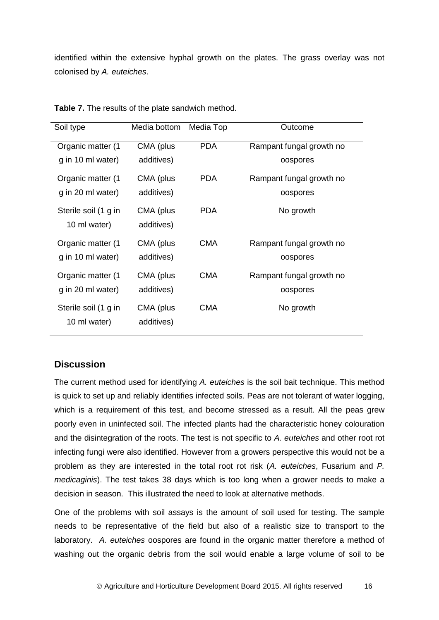identified within the extensive hyphal growth on the plates. The grass overlay was not colonised by *A. euteiches*.

| Soil type                            | Media bottom            | Media Top  | Outcome                  |
|--------------------------------------|-------------------------|------------|--------------------------|
| Organic matter (1                    | CMA (plus               | <b>PDA</b> | Rampant fungal growth no |
| g in 10 ml water)                    | additives)              |            | oospores                 |
| Organic matter (1                    | CMA (plus               | <b>PDA</b> | Rampant fungal growth no |
| g in 20 ml water)                    | additives)              |            | oospores                 |
| Sterile soil (1 g in<br>10 ml water) | CMA (plus<br>additives) | <b>PDA</b> | No growth                |
| Organic matter (1                    | CMA (plus               | <b>CMA</b> | Rampant fungal growth no |
| g in 10 ml water)                    | additives)              |            | oospores                 |
| Organic matter (1                    | CMA (plus               | <b>CMA</b> | Rampant fungal growth no |
| g in 20 ml water)                    | additives)              |            | oospores                 |
| Sterile soil (1 g in<br>10 ml water) | CMA (plus<br>additives) | <b>CMA</b> | No growth                |

**Table 7.** The results of the plate sandwich method.

#### <span id="page-20-0"></span>**Discussion**

The current method used for identifying *A. euteiches* is the soil bait technique. This method is quick to set up and reliably identifies infected soils. Peas are not tolerant of water logging, which is a requirement of this test, and become stressed as a result. All the peas grew poorly even in uninfected soil. The infected plants had the characteristic honey colouration and the disintegration of the roots. The test is not specific to *A. euteiches* and other root rot infecting fungi were also identified. However from a growers perspective this would not be a problem as they are interested in the total root rot risk (*A. euteiches*, Fusarium and *P. medicaginis*). The test takes 38 days which is too long when a grower needs to make a decision in season. This illustrated the need to look at alternative methods.

One of the problems with soil assays is the amount of soil used for testing. The sample needs to be representative of the field but also of a realistic size to transport to the laboratory. *A. euteiches* oospores are found in the organic matter therefore a method of washing out the organic debris from the soil would enable a large volume of soil to be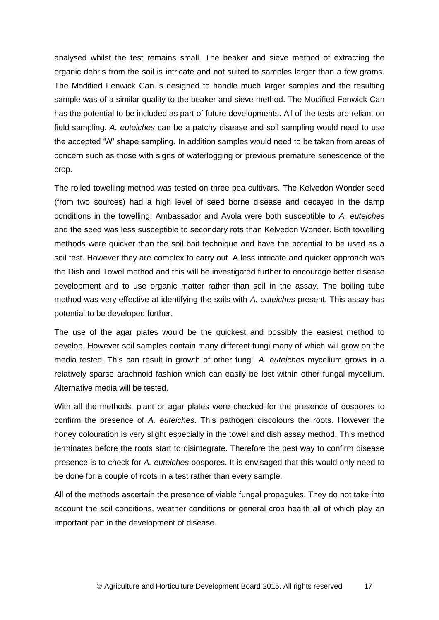analysed whilst the test remains small. The beaker and sieve method of extracting the organic debris from the soil is intricate and not suited to samples larger than a few grams. The Modified Fenwick Can is designed to handle much larger samples and the resulting sample was of a similar quality to the beaker and sieve method. The Modified Fenwick Can has the potential to be included as part of future developments. All of the tests are reliant on field sampling. *A. euteiches* can be a patchy disease and soil sampling would need to use the accepted 'W' shape sampling. In addition samples would need to be taken from areas of concern such as those with signs of waterlogging or previous premature senescence of the crop.

The rolled towelling method was tested on three pea cultivars. The Kelvedon Wonder seed (from two sources) had a high level of seed borne disease and decayed in the damp conditions in the towelling. Ambassador and Avola were both susceptible to *A. euteiches* and the seed was less susceptible to secondary rots than Kelvedon Wonder. Both towelling methods were quicker than the soil bait technique and have the potential to be used as a soil test. However they are complex to carry out. A less intricate and quicker approach was the Dish and Towel method and this will be investigated further to encourage better disease development and to use organic matter rather than soil in the assay. The boiling tube method was very effective at identifying the soils with *A. euteiches* present. This assay has potential to be developed further.

The use of the agar plates would be the quickest and possibly the easiest method to develop. However soil samples contain many different fungi many of which will grow on the media tested. This can result in growth of other fungi. *A. euteiches* mycelium grows in a relatively sparse arachnoid fashion which can easily be lost within other fungal mycelium. Alternative media will be tested.

With all the methods, plant or agar plates were checked for the presence of oospores to confirm the presence of *A. euteiches*. This pathogen discolours the roots. However the honey colouration is very slight especially in the towel and dish assay method. This method terminates before the roots start to disintegrate. Therefore the best way to confirm disease presence is to check for *A. euteiches* oospores. It is envisaged that this would only need to be done for a couple of roots in a test rather than every sample.

All of the methods ascertain the presence of viable fungal propagules. They do not take into account the soil conditions, weather conditions or general crop health all of which play an important part in the development of disease.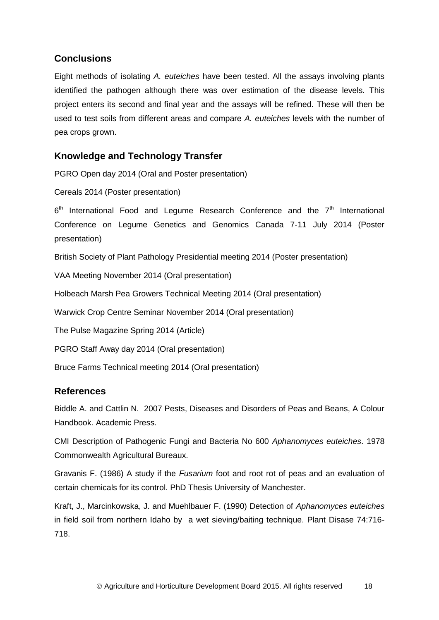# <span id="page-22-0"></span>**Conclusions**

Eight methods of isolating *A. euteiches* have been tested. All the assays involving plants identified the pathogen although there was over estimation of the disease levels. This project enters its second and final year and the assays will be refined. These will then be used to test soils from different areas and compare *A. euteiches* levels with the number of pea crops grown.

# <span id="page-22-1"></span>**Knowledge and Technology Transfer**

PGRO Open day 2014 (Oral and Poster presentation)

Cereals 2014 (Poster presentation)

 $6<sup>th</sup>$  International Food and Legume Research Conference and the  $7<sup>th</sup>$  International Conference on Legume Genetics and Genomics Canada 7-11 July 2014 (Poster presentation)

British Society of Plant Pathology Presidential meeting 2014 (Poster presentation)

VAA Meeting November 2014 (Oral presentation)

Holbeach Marsh Pea Growers Technical Meeting 2014 (Oral presentation)

Warwick Crop Centre Seminar November 2014 (Oral presentation)

The Pulse Magazine Spring 2014 (Article)

PGRO Staff Away day 2014 (Oral presentation)

Bruce Farms Technical meeting 2014 (Oral presentation)

### <span id="page-22-2"></span>**References**

Biddle A. and Cattlin N. 2007 Pests, Diseases and Disorders of Peas and Beans, A Colour Handbook. Academic Press.

CMI Description of Pathogenic Fungi and Bacteria No 600 *Aphanomyces euteiches*. 1978 Commonwealth Agricultural Bureaux.

Gravanis F. (1986) A study if the *Fusarium* foot and root rot of peas and an evaluation of certain chemicals for its control. PhD Thesis University of Manchester.

Kraft, J., Marcinkowska, J. and Muehlbauer F. (1990) Detection of *Aphanomyces euteiches* in field soil from northern Idaho by a wet sieving/baiting technique. Plant Disase 74:716- 718.